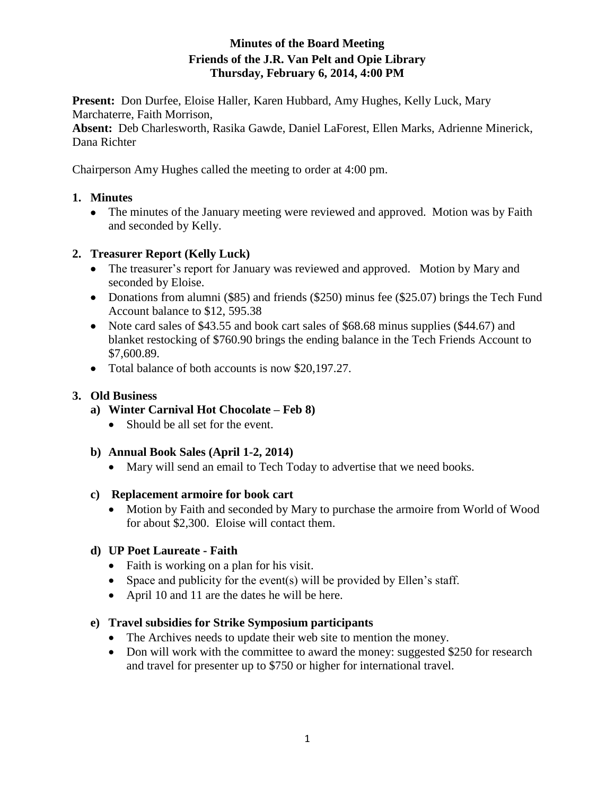## **Minutes of the Board Meeting Friends of the J.R. Van Pelt and Opie Library Thursday, February 6, 2014, 4:00 PM**

**Present:** Don Durfee, Eloise Haller, Karen Hubbard, Amy Hughes, Kelly Luck, Mary Marchaterre, Faith Morrison,

**Absent:** Deb Charlesworth, Rasika Gawde, Daniel LaForest, Ellen Marks, Adrienne Minerick, Dana Richter

Chairperson Amy Hughes called the meeting to order at 4:00 pm.

## **1. Minutes**

• The minutes of the January meeting were reviewed and approved. Motion was by Faith and seconded by Kelly.

## **2. Treasurer Report (Kelly Luck)**

- The treasurer's report for January was reviewed and approved. Motion by Mary and seconded by Eloise.
- Donations from alumni (\$85) and friends (\$250) minus fee (\$25.07) brings the Tech Fund Account balance to \$12, 595.38
- Note card sales of \$43.55 and book cart sales of \$68.68 minus supplies (\$44.67) and blanket restocking of \$760.90 brings the ending balance in the Tech Friends Account to \$7,600.89.
- Total balance of both accounts is now \$20,197.27.

## **3. Old Business**

- **a) Winter Carnival Hot Chocolate – Feb 8)**
	- Should be all set for the event.

#### **b) Annual Book Sales (April 1-2, 2014)**

• Mary will send an email to Tech Today to advertise that we need books.

#### **c) Replacement armoire for book cart**

• Motion by Faith and seconded by Mary to purchase the armoire from World of Wood for about \$2,300. Eloise will contact them.

#### **d) UP Poet Laureate - Faith**

- Faith is working on a plan for his visit.
- Space and publicity for the event(s) will be provided by Ellen's staff.
- April 10 and 11 are the dates he will be here.

#### **e) Travel subsidies for Strike Symposium participants**

- The Archives needs to update their web site to mention the money.
- Don will work with the committee to award the money: suggested \$250 for research and travel for presenter up to \$750 or higher for international travel.